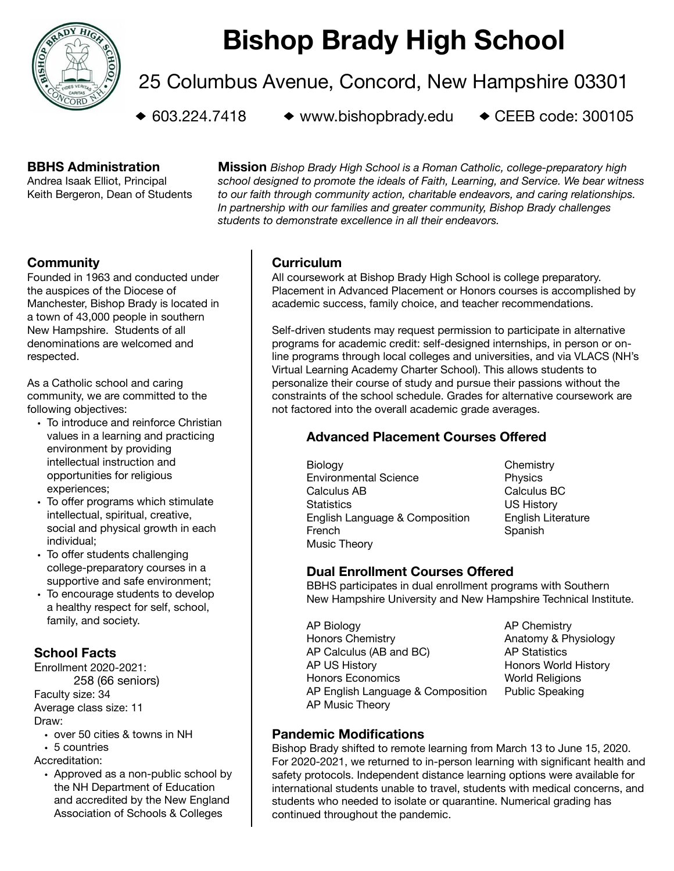

# **Bishop Brady High School**

25 Columbus Avenue, Concord, New Hampshire 03301

 $\bullet$  603.224.7418  $\bullet$  www.bishopbrady.edu  $\bullet$  CEEB code: 300105

#### **BBHS Administration**

Andrea Isaak Elliot, Principal Keith Bergeron, Dean of Students

**Mission** *Bishop Brady High School is a Roman Catholic, college-preparatory high school designed to promote the ideals of Faith, Learning, and Service. We bear witness to our faith through community action, charitable endeavors, and caring relationships. In partnership with our families and greater community, Bishop Brady challenges students to demonstrate excellence in all their endeavors.*

# **Community**

Founded in 1963 and conducted under the auspices of the Diocese of Manchester, Bishop Brady is located in a town of 43,000 people in southern New Hampshire. Students of all denominations are welcomed and respected.

As a Catholic school and caring community, we are committed to the following objectives:

- To introduce and reinforce Christian values in a learning and practicing environment by providing intellectual instruction and opportunities for religious experiences;
- To offer programs which stimulate intellectual, spiritual, creative, social and physical growth in each individual;
- To offer students challenging college-preparatory courses in a supportive and safe environment;
- To encourage students to develop a healthy respect for self, school, family, and society.

# **School Facts**

Enrollment 2020-2021: 258 (66 seniors) Faculty size: 34 Average class size: 11 Draw:

- over 50 cities & towns in NH
- 5 countries

Accreditation:

• Approved as a non-public school by the NH Department of Education and accredited by the New England Association of Schools & Colleges

#### **Curriculum**

All coursework at Bishop Brady High School is college preparatory. Placement in Advanced Placement or Honors courses is accomplished by academic success, family choice, and teacher recommendations.

Self-driven students may request permission to participate in alternative programs for academic credit: self-designed internships, in person or online programs through local colleges and universities, and via VLACS (NH's Virtual Learning Academy Charter School). This allows students to personalize their course of study and pursue their passions without the constraints of the school schedule. Grades for alternative coursework are not factored into the overall academic grade averages.

# **Advanced Placement Courses Offered**

- Biology **Biology Chemistry** Environmental Science **Branch Contact Physics** Calculus AB Calculus BC Statistics US History English Language & Composition English Literature French Spanish Music Theory
- 

# **Dual Enrollment Courses Offered**

BBHS participates in dual enrollment programs with Southern New Hampshire University and New Hampshire Technical Institute.

- AP Biology **AP Chemistry** Honors Chemistry **Anatomy & Physiology** AP Calculus (AB and BC) AP Statistics AP US History **BEEN AP US History AP US History** Honors Economics **Monocault America** World Religions AP English Language & Composition Public Speaking AP Music Theory
	-

# **Pandemic Modifications**

Bishop Brady shifted to remote learning from March 13 to June 15, 2020. For 2020-2021, we returned to in-person learning with significant health and safety protocols. Independent distance learning options were available for international students unable to travel, students with medical concerns, and students who needed to isolate or quarantine. Numerical grading has continued throughout the pandemic.